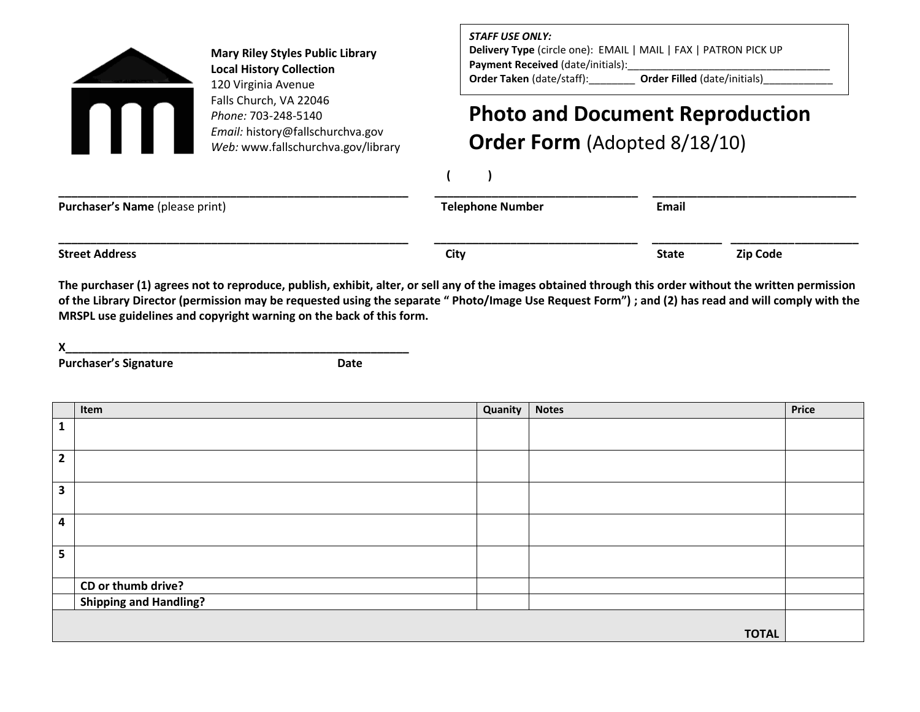

**Mary Riley Styles Public Library Local History Collection** 120 Virginia Avenue Falls Church, VA 22046 *Phone:* 703-248-5140 *Email:* history@fallschurchva.gov *Web:* www.fallschurchva.gov/library *STAFF USE ONLY:*

**Delivery Type** (circle one): EMAIL | MAIL | FAX | PATRON PICK UP **Payment Received** (date/initials):\_\_\_\_\_\_\_\_\_\_\_\_\_\_\_\_\_\_\_\_\_\_\_\_\_\_\_\_\_\_\_\_\_\_\_ **Order Taken** (date/staff): **Drder Filled** (date/initials)

## **Photo and Document Reproduction**

**Order Form** (Adopted 8/18/10)

**( )** 

| Purchaser's Name (please print) | <b>Telephone Number</b> | <b>Email</b> |                 |
|---------------------------------|-------------------------|--------------|-----------------|
| <b>Street Address</b>           | City                    | <b>State</b> | <b>Zip Code</b> |

**The purchaser (1) agrees not to reproduce, publish, exhibit, alter, or sell any of the images obtained through this order without the written permission of the Library Director (permission may be requested using the separate " Photo/Image Use Request Form") ; and (2) has read and will comply with the MRSPL use guidelines and copyright warning on the back of this form.** 

**X\_\_\_\_\_\_\_\_\_\_\_\_\_\_\_\_\_\_\_\_\_\_\_\_\_\_\_\_\_\_\_\_\_\_\_\_\_\_\_\_\_\_\_\_\_\_\_\_\_\_\_\_\_\_** 

Purchaser's Signature<br>
Date

|                         | Item                          | <b>Quanity</b> | <b>Notes</b> | Price |
|-------------------------|-------------------------------|----------------|--------------|-------|
| $\mathbf{1}$            |                               |                |              |       |
|                         |                               |                |              |       |
| $\mathbf{2}$            |                               |                |              |       |
|                         |                               |                |              |       |
| $\mathbf{3}$            |                               |                |              |       |
|                         |                               |                |              |       |
| $\overline{\mathbf{4}}$ |                               |                |              |       |
|                         |                               |                |              |       |
| 5                       |                               |                |              |       |
|                         |                               |                |              |       |
|                         | CD or thumb drive?            |                |              |       |
|                         | <b>Shipping and Handling?</b> |                |              |       |
|                         |                               |                |              |       |
|                         |                               |                | <b>TOTAL</b> |       |